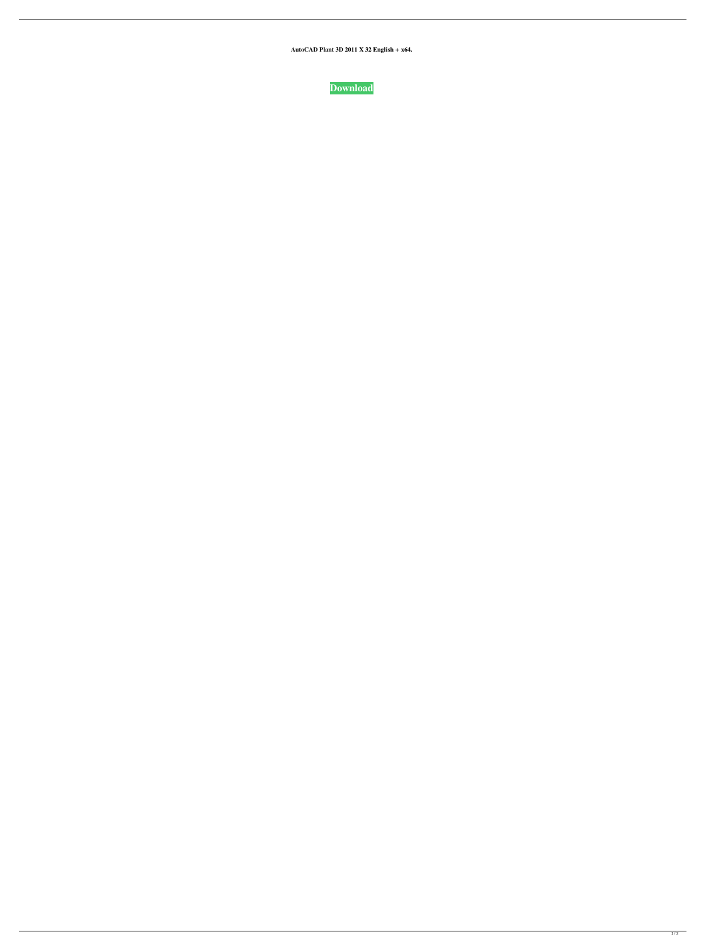**AutoCAD Plant 3D 2011 X 32 English + x64.**